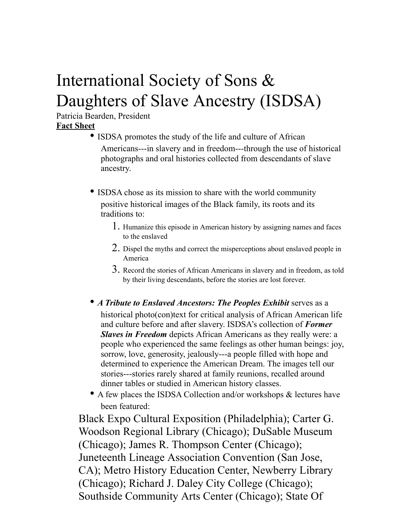## International Society of Sons & Daughters of Slave Ancestry (ISDSA)

Patricia Bearden, President **Fact Sheet**

- ISDSA promotes the study of the life and culture of African Americans---in slavery and in freedom---through the use of historical photographs and oral histories collected from descendants of slave ancestry.
- ISDSA chose as its mission to share with the world community positive historical images of the Black family, its roots and its traditions to:
	- 1. Humanize this episode in American history by assigning names and faces to the enslaved
	- 2. Dispel the myths and correct the misperceptions about enslaved people in America
	- 3. Record the stories of African Americans in slavery and in freedom, as told by their living descendants, before the stories are lost forever.
- *A Tribute to Enslaved Ancestors: The Peoples Exhibit* serves as a historical photo(con)text for critical analysis of African American life and culture before and after slavery. ISDSA's collection of *Former Slaves in Freedom* depicts African Americans as they really were: a people who experienced the same feelings as other human beings: joy, sorrow, love, generosity, jealously---a people filled with hope and determined to experience the American Dream. The images tell our stories---stories rarely shared at family reunions, recalled around dinner tables or studied in American history classes.
- A few places the ISDSA Collection and/or workshops & lectures have been featured:

Black Expo Cultural Exposition (Philadelphia); Carter G. Woodson Regional Library (Chicago); DuSable Museum (Chicago); James R. Thompson Center (Chicago); Juneteenth Lineage Association Convention (San Jose, CA); Metro History Education Center, Newberry Library (Chicago); Richard J. Daley City College (Chicago); Southside Community Arts Center (Chicago); State Of